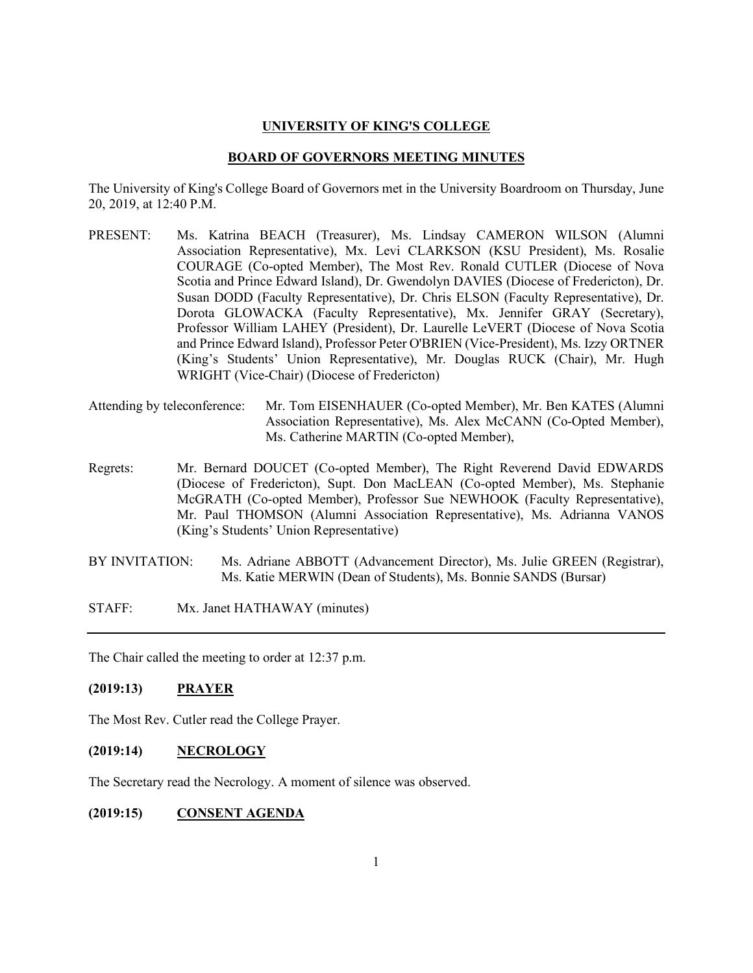#### **UNIVERSITY OF KING'S COLLEGE**

#### **BOARD OF GOVERNORS MEETING MINUTES**

The University of King's College Board of Governors met in the University Boardroom on Thursday, June 20, 2019, at 12:40 P.M.

- PRESENT: Ms. Katrina BEACH (Treasurer), Ms. Lindsay CAMERON WILSON (Alumni Association Representative), Mx. Levi CLARKSON (KSU President), Ms. Rosalie COURAGE (Co-opted Member), The Most Rev. Ronald CUTLER (Diocese of Nova Scotia and Prince Edward Island), Dr. Gwendolyn DAVIES (Diocese of Fredericton), Dr. Susan DODD (Faculty Representative), Dr. Chris ELSON (Faculty Representative), Dr. Dorota GLOWACKA (Faculty Representative), Mx. Jennifer GRAY (Secretary), Professor William LAHEY (President), Dr. Laurelle LeVERT (Diocese of Nova Scotia and Prince Edward Island), Professor Peter O'BRIEN (Vice-President), Ms. Izzy ORTNER (King's Students' Union Representative), Mr. Douglas RUCK (Chair), Mr. Hugh WRIGHT (Vice-Chair) (Diocese of Fredericton)
- Attending by teleconference: Mr. Tom EISENHAUER (Co-opted Member), Mr. Ben KATES (Alumni Association Representative), Ms. Alex McCANN (Co-Opted Member), Ms. Catherine MARTIN (Co-opted Member),
- Regrets: Mr. Bernard DOUCET (Co-opted Member), The Right Reverend David EDWARDS (Diocese of Fredericton), Supt. Don MacLEAN (Co-opted Member), Ms. Stephanie McGRATH (Co-opted Member), Professor Sue NEWHOOK (Faculty Representative), Mr. Paul THOMSON (Alumni Association Representative), Ms. Adrianna VANOS (King's Students' Union Representative)
- BY INVITATION: Ms. Adriane ABBOTT (Advancement Director), Ms. Julie GREEN (Registrar), Ms. Katie MERWIN (Dean of Students), Ms. Bonnie SANDS (Bursar)
- STAFF: Mx. Janet HATHAWAY (minutes)

The Chair called the meeting to order at 12:37 p.m.

## **(2019:13) PRAYER**

The Most Rev. Cutler read the College Prayer.

## **(2019:14) NECROLOGY**

The Secretary read the Necrology. A moment of silence was observed.

## **(2019:15) CONSENT AGENDA**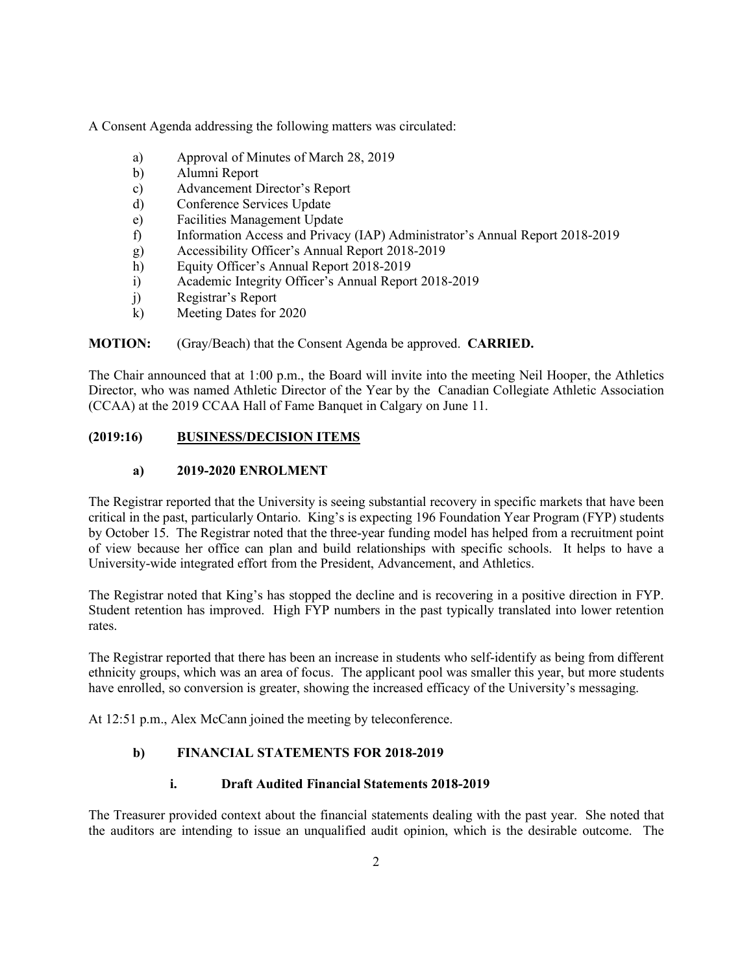A Consent Agenda addressing the following matters was circulated:

- a) Approval of Minutes of March 28, 2019
- b) Alumni Report
- c) Advancement Director's Report
- d) Conference Services Update
- e) Facilities Management Update
- f) Information Access and Privacy (IAP) Administrator's Annual Report 2018-2019
- g) Accessibility Officer's Annual Report 2018-2019
- h) Equity Officer's Annual Report 2018-2019
- i) Academic Integrity Officer's Annual Report 2018-2019
- j) Registrar's Report
- k) Meeting Dates for 2020

## **MOTION:** (Gray/Beach) that the Consent Agenda be approved. **CARRIED.**

The Chair announced that at 1:00 p.m., the Board will invite into the meeting Neil Hooper, the Athletics Director, who was named Athletic Director of the Year by the Canadian Collegiate Athletic Association (CCAA) at the 2019 CCAA Hall of Fame Banquet in Calgary on June 11.

## **(2019:16) BUSINESS/DECISION ITEMS**

#### **a) 2019-2020 ENROLMENT**

The Registrar reported that the University is seeing substantial recovery in specific markets that have been critical in the past, particularly Ontario. King's is expecting 196 Foundation Year Program (FYP) students by October 15. The Registrar noted that the three-year funding model has helped from a recruitment point of view because her office can plan and build relationships with specific schools. It helps to have a University-wide integrated effort from the President, Advancement, and Athletics.

The Registrar noted that King's has stopped the decline and is recovering in a positive direction in FYP. Student retention has improved. High FYP numbers in the past typically translated into lower retention rates.

The Registrar reported that there has been an increase in students who self-identify as being from different ethnicity groups, which was an area of focus. The applicant pool was smaller this year, but more students have enrolled, so conversion is greater, showing the increased efficacy of the University's messaging.

At 12:51 p.m., Alex McCann joined the meeting by teleconference.

## **b) FINANCIAL STATEMENTS FOR 2018-2019**

## **i. Draft Audited Financial Statements 2018-2019**

The Treasurer provided context about the financial statements dealing with the past year. She noted that the auditors are intending to issue an unqualified audit opinion, which is the desirable outcome. The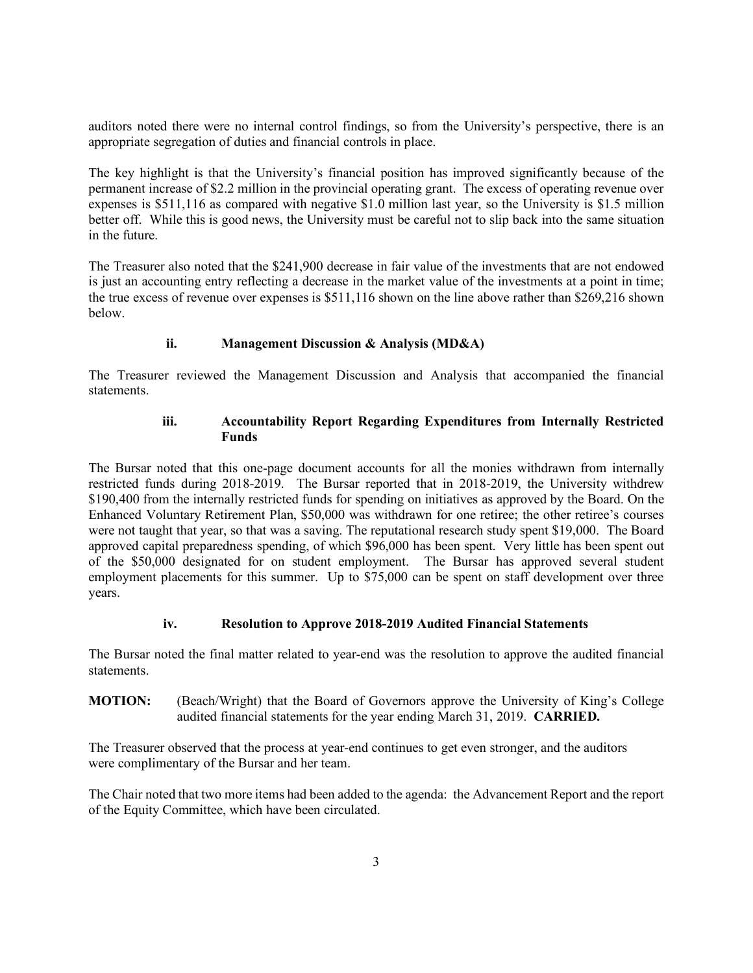auditors noted there were no internal control findings, so from the University's perspective, there is an appropriate segregation of duties and financial controls in place.

The key highlight is that the University's financial position has improved significantly because of the permanent increase of \$2.2 million in the provincial operating grant. The excess of operating revenue over expenses is \$511,116 as compared with negative \$1.0 million last year, so the University is \$1.5 million better off. While this is good news, the University must be careful not to slip back into the same situation in the future.

The Treasurer also noted that the \$241,900 decrease in fair value of the investments that are not endowed is just an accounting entry reflecting a decrease in the market value of the investments at a point in time; the true excess of revenue over expenses is \$511,116 shown on the line above rather than \$269,216 shown below.

# **ii. Management Discussion & Analysis (MD&A)**

The Treasurer reviewed the Management Discussion and Analysis that accompanied the financial statements.

### **iii. Accountability Report Regarding Expenditures from Internally Restricted Funds**

The Bursar noted that this one-page document accounts for all the monies withdrawn from internally restricted funds during 2018-2019. The Bursar reported that in 2018-2019, the University withdrew \$190,400 from the internally restricted funds for spending on initiatives as approved by the Board. On the Enhanced Voluntary Retirement Plan, \$50,000 was withdrawn for one retiree; the other retiree's courses were not taught that year, so that was a saving. The reputational research study spent \$19,000. The Board approved capital preparedness spending, of which \$96,000 has been spent. Very little has been spent out of the \$50,000 designated for on student employment. The Bursar has approved several student employment placements for this summer. Up to \$75,000 can be spent on staff development over three years.

## **iv. Resolution to Approve 2018-2019 Audited Financial Statements**

The Bursar noted the final matter related to year-end was the resolution to approve the audited financial statements.

**MOTION:** (Beach/Wright) that the Board of Governors approve the University of King's College audited financial statements for the year ending March 31, 2019. **CARRIED.**

The Treasurer observed that the process at year-end continues to get even stronger, and the auditors were complimentary of the Bursar and her team.

The Chair noted that two more items had been added to the agenda: the Advancement Report and the report of the Equity Committee, which have been circulated.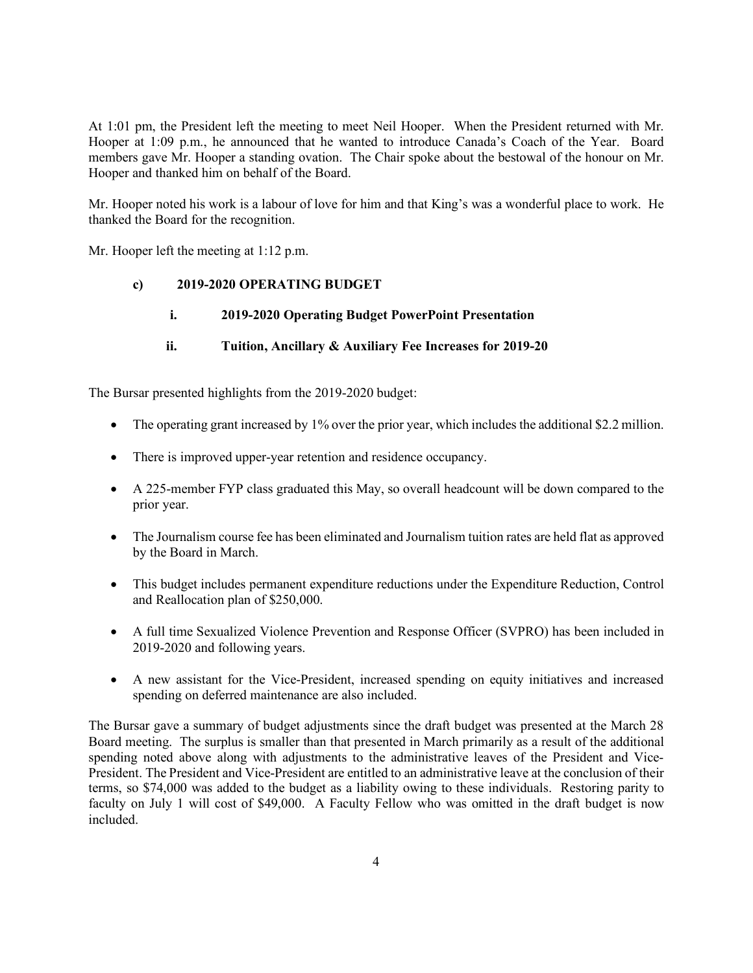At 1:01 pm, the President left the meeting to meet Neil Hooper. When the President returned with Mr. Hooper at 1:09 p.m., he announced that he wanted to introduce Canada's Coach of the Year. Board members gave Mr. Hooper a standing ovation. The Chair spoke about the bestowal of the honour on Mr. Hooper and thanked him on behalf of the Board.

Mr. Hooper noted his work is a labour of love for him and that King's was a wonderful place to work. He thanked the Board for the recognition.

Mr. Hooper left the meeting at 1:12 p.m.

## **c) 2019-2020 OPERATING BUDGET**

## **i. 2019-2020 Operating Budget PowerPoint Presentation**

## **ii. Tuition, Ancillary & Auxiliary Fee Increases for 2019-20**

The Bursar presented highlights from the 2019-2020 budget:

- The operating grant increased by 1% over the prior year, which includes the additional \$2.2 million.
- There is improved upper-year retention and residence occupancy.
- A 225-member FYP class graduated this May, so overall headcount will be down compared to the prior year.
- The Journalism course fee has been eliminated and Journalism tuition rates are held flat as approved by the Board in March.
- This budget includes permanent expenditure reductions under the Expenditure Reduction, Control and Reallocation plan of \$250,000.
- A full time Sexualized Violence Prevention and Response Officer (SVPRO) has been included in 2019-2020 and following years.
- A new assistant for the Vice-President, increased spending on equity initiatives and increased spending on deferred maintenance are also included.

The Bursar gave a summary of budget adjustments since the draft budget was presented at the March 28 Board meeting. The surplus is smaller than that presented in March primarily as a result of the additional spending noted above along with adjustments to the administrative leaves of the President and Vice-President. The President and Vice-President are entitled to an administrative leave at the conclusion of their terms, so \$74,000 was added to the budget as a liability owing to these individuals. Restoring parity to faculty on July 1 will cost of \$49,000. A Faculty Fellow who was omitted in the draft budget is now included.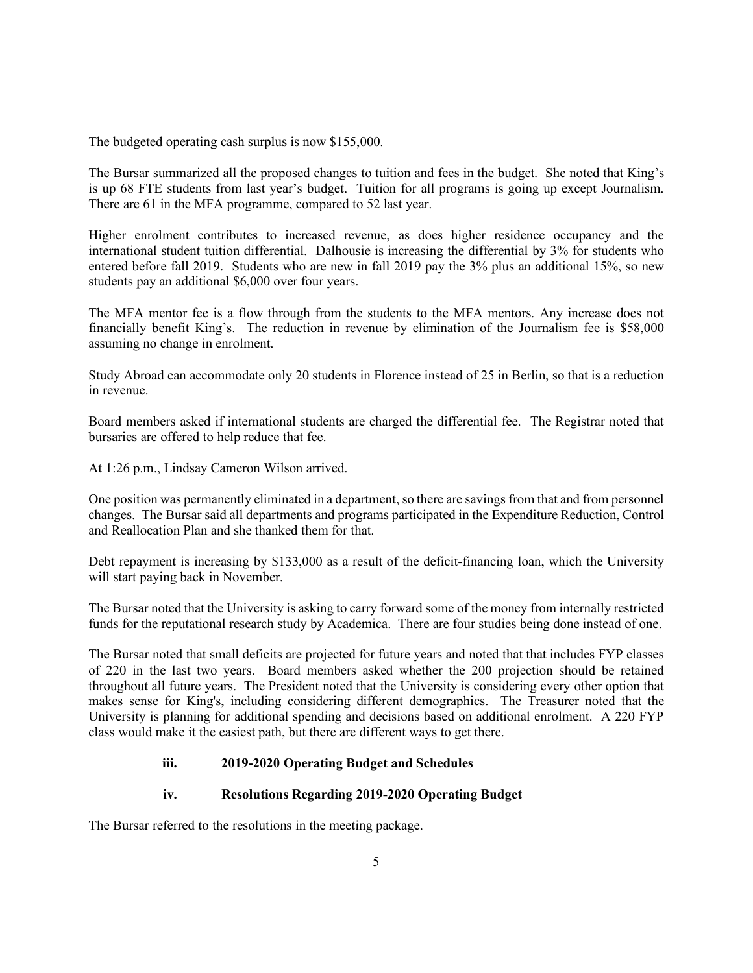The budgeted operating cash surplus is now \$155,000.

The Bursar summarized all the proposed changes to tuition and fees in the budget. She noted that King's is up 68 FTE students from last year's budget. Tuition for all programs is going up except Journalism. There are 61 in the MFA programme, compared to 52 last year.

Higher enrolment contributes to increased revenue, as does higher residence occupancy and the international student tuition differential. Dalhousie is increasing the differential by 3% for students who entered before fall 2019. Students who are new in fall 2019 pay the 3% plus an additional 15%, so new students pay an additional \$6,000 over four years.

The MFA mentor fee is a flow through from the students to the MFA mentors. Any increase does not financially benefit King's. The reduction in revenue by elimination of the Journalism fee is \$58,000 assuming no change in enrolment.

Study Abroad can accommodate only 20 students in Florence instead of 25 in Berlin, so that is a reduction in revenue.

Board members asked if international students are charged the differential fee. The Registrar noted that bursaries are offered to help reduce that fee.

At 1:26 p.m., Lindsay Cameron Wilson arrived.

One position was permanently eliminated in a department, so there are savings from that and from personnel changes. The Bursar said all departments and programs participated in the Expenditure Reduction, Control and Reallocation Plan and she thanked them for that.

Debt repayment is increasing by \$133,000 as a result of the deficit-financing loan, which the University will start paying back in November.

The Bursar noted that the University is asking to carry forward some of the money from internally restricted funds for the reputational research study by Academica. There are four studies being done instead of one.

The Bursar noted that small deficits are projected for future years and noted that that includes FYP classes of 220 in the last two years. Board members asked whether the 200 projection should be retained throughout all future years. The President noted that the University is considering every other option that makes sense for King's, including considering different demographics. The Treasurer noted that the University is planning for additional spending and decisions based on additional enrolment. A 220 FYP class would make it the easiest path, but there are different ways to get there.

## **iii. 2019-2020 Operating Budget and Schedules**

#### **iv. Resolutions Regarding 2019-2020 Operating Budget**

The Bursar referred to the resolutions in the meeting package.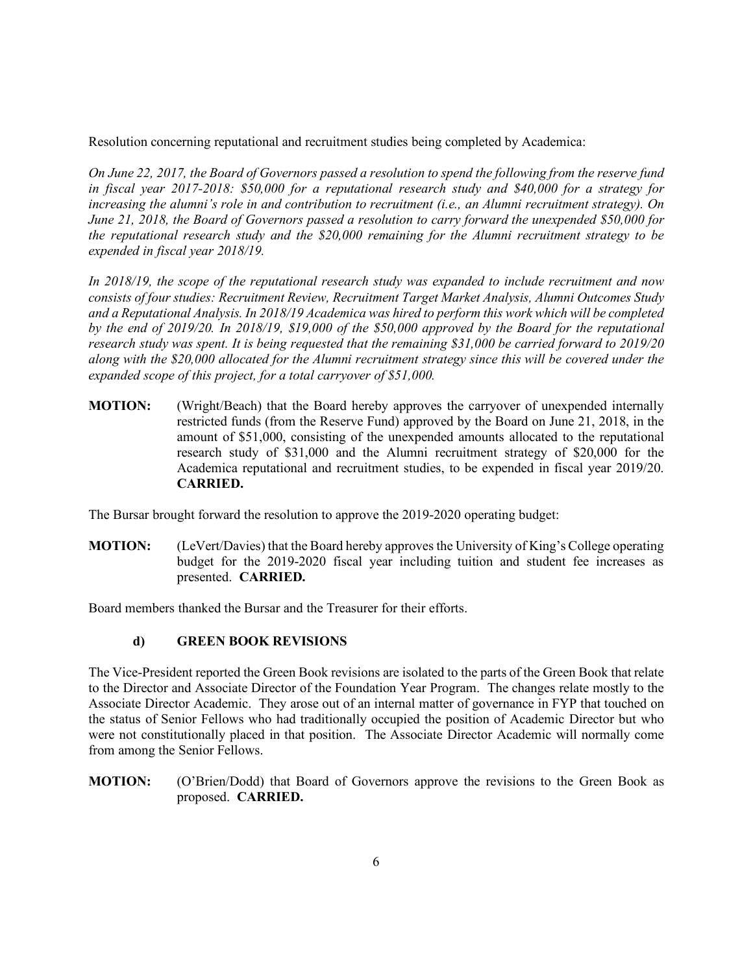Resolution concerning reputational and recruitment studies being completed by Academica:

*On June 22, 2017, the Board of Governors passed a resolution to spend the following from the reserve fund in fiscal year 2017-2018: \$50,000 for a reputational research study and \$40,000 for a strategy for increasing the alumni's role in and contribution to recruitment (i.e., an Alumni recruitment strategy). On June 21, 2018, the Board of Governors passed a resolution to carry forward the unexpended \$50,000 for the reputational research study and the \$20,000 remaining for the Alumni recruitment strategy to be expended in fiscal year 2018/19.*

*In 2018/19, the scope of the reputational research study was expanded to include recruitment and now consists of four studies: Recruitment Review, Recruitment Target Market Analysis, Alumni Outcomes Study and a Reputational Analysis. In 2018/19 Academica was hired to perform this work which will be completed by the end of 2019/20. In 2018/19, \$19,000 of the \$50,000 approved by the Board for the reputational research study was spent. It is being requested that the remaining \$31,000 be carried forward to 2019/20 along with the \$20,000 allocated for the Alumni recruitment strategy since this will be covered under the expanded scope of this project, for a total carryover of \$51,000.*

**MOTION:** (Wright/Beach) that the Board hereby approves the carryover of unexpended internally restricted funds (from the Reserve Fund) approved by the Board on June 21, 2018, in the amount of \$51,000, consisting of the unexpended amounts allocated to the reputational research study of \$31,000 and the Alumni recruitment strategy of \$20,000 for the Academica reputational and recruitment studies, to be expended in fiscal year 2019/20. **CARRIED.**

The Bursar brought forward the resolution to approve the 2019-2020 operating budget:

**MOTION:** (LeVert/Davies) that the Board hereby approves the University of King's College operating budget for the 2019-2020 fiscal year including tuition and student fee increases as presented. **CARRIED.**

Board members thanked the Bursar and the Treasurer for their efforts.

# **d) GREEN BOOK REVISIONS**

The Vice-President reported the Green Book revisions are isolated to the parts of the Green Book that relate to the Director and Associate Director of the Foundation Year Program. The changes relate mostly to the Associate Director Academic. They arose out of an internal matter of governance in FYP that touched on the status of Senior Fellows who had traditionally occupied the position of Academic Director but who were not constitutionally placed in that position. The Associate Director Academic will normally come from among the Senior Fellows.

**MOTION:** (O'Brien/Dodd) that Board of Governors approve the revisions to the Green Book as proposed. **CARRIED.**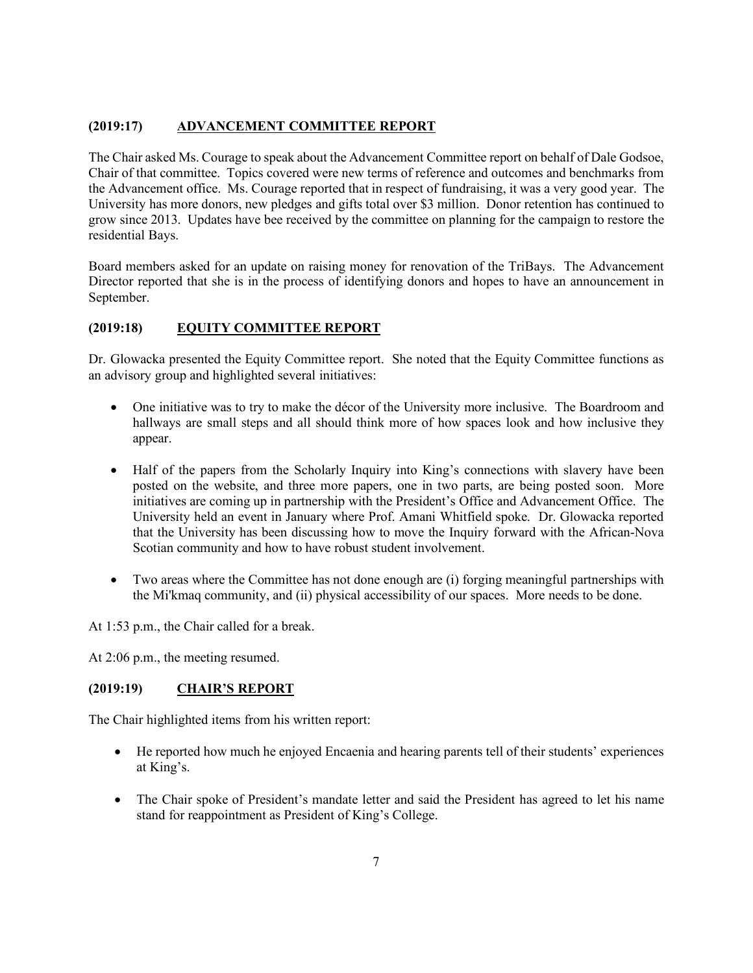## **(2019:17) ADVANCEMENT COMMITTEE REPORT**

The Chair asked Ms. Courage to speak about the Advancement Committee report on behalf of Dale Godsoe, Chair of that committee. Topics covered were new terms of reference and outcomes and benchmarks from the Advancement office. Ms. Courage reported that in respect of fundraising, it was a very good year. The University has more donors, new pledges and gifts total over \$3 million. Donor retention has continued to grow since 2013. Updates have bee received by the committee on planning for the campaign to restore the residential Bays.

Board members asked for an update on raising money for renovation of the TriBays. The Advancement Director reported that she is in the process of identifying donors and hopes to have an announcement in September.

## **(2019:18) EQUITY COMMITTEE REPORT**

Dr. Glowacka presented the Equity Committee report. She noted that the Equity Committee functions as an advisory group and highlighted several initiatives:

- One initiative was to try to make the décor of the University more inclusive. The Boardroom and hallways are small steps and all should think more of how spaces look and how inclusive they appear.
- Half of the papers from the Scholarly Inquiry into King's connections with slavery have been posted on the website, and three more papers, one in two parts, are being posted soon. More initiatives are coming up in partnership with the President's Office and Advancement Office. The University held an event in January where Prof. Amani Whitfield spoke. Dr. Glowacka reported that the University has been discussing how to move the Inquiry forward with the African-Nova Scotian community and how to have robust student involvement.
- Two areas where the Committee has not done enough are (i) forging meaningful partnerships with the Mi'kmaq community, and (ii) physical accessibility of our spaces. More needs to be done.

At 1:53 p.m., the Chair called for a break.

At 2:06 p.m., the meeting resumed.

## **(2019:19) CHAIR'S REPORT**

The Chair highlighted items from his written report:

- He reported how much he enjoyed Encaenia and hearing parents tell of their students' experiences at King's.
- The Chair spoke of President's mandate letter and said the President has agreed to let his name stand for reappointment as President of King's College.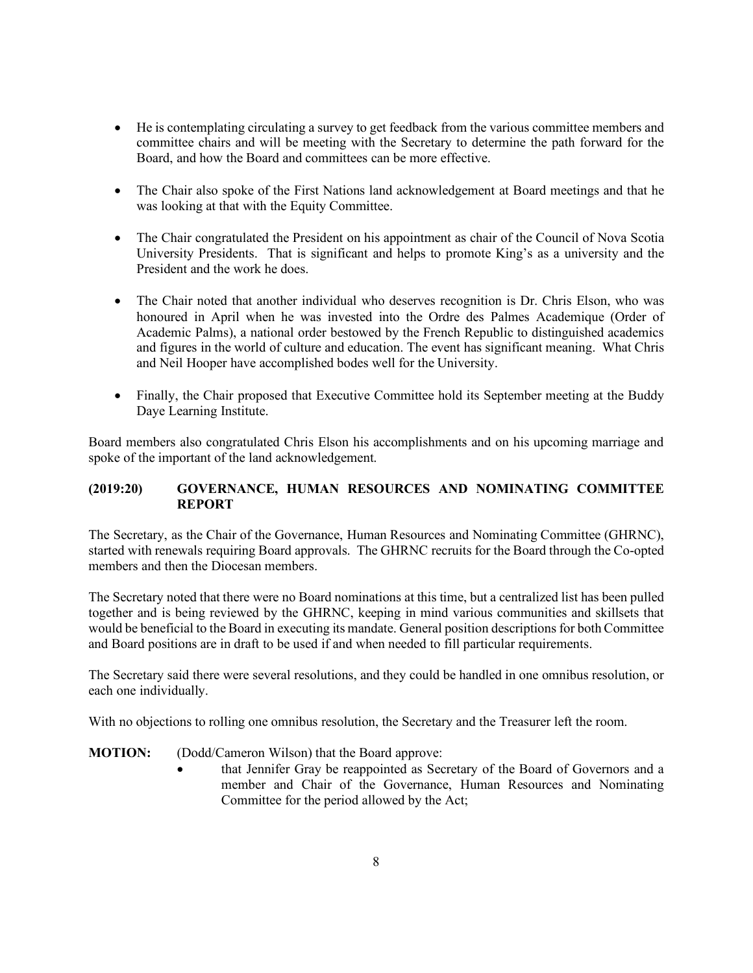- He is contemplating circulating a survey to get feedback from the various committee members and committee chairs and will be meeting with the Secretary to determine the path forward for the Board, and how the Board and committees can be more effective.
- The Chair also spoke of the First Nations land acknowledgement at Board meetings and that he was looking at that with the Equity Committee.
- The Chair congratulated the President on his appointment as chair of the Council of Nova Scotia University Presidents. That is significant and helps to promote King's as a university and the President and the work he does.
- The Chair noted that another individual who deserves recognition is Dr. Chris Elson, who was honoured in April when he was invested into the Ordre des Palmes Academique (Order of Academic Palms), a national order bestowed by the French Republic to distinguished academics and figures in the world of culture and education. The event has significant meaning. What Chris and Neil Hooper have accomplished bodes well for the University.
- Finally, the Chair proposed that Executive Committee hold its September meeting at the Buddy Daye Learning Institute.

Board members also congratulated Chris Elson his accomplishments and on his upcoming marriage and spoke of the important of the land acknowledgement.

## **(2019:20) GOVERNANCE, HUMAN RESOURCES AND NOMINATING COMMITTEE REPORT**

The Secretary, as the Chair of the Governance, Human Resources and Nominating Committee (GHRNC), started with renewals requiring Board approvals. The GHRNC recruits for the Board through the Co-opted members and then the Diocesan members.

The Secretary noted that there were no Board nominations at this time, but a centralized list has been pulled together and is being reviewed by the GHRNC, keeping in mind various communities and skillsets that would be beneficial to the Board in executing its mandate. General position descriptions for both Committee and Board positions are in draft to be used if and when needed to fill particular requirements.

The Secretary said there were several resolutions, and they could be handled in one omnibus resolution, or each one individually.

With no objections to rolling one omnibus resolution, the Secretary and the Treasurer left the room.

**MOTION:** (Dodd/Cameron Wilson) that the Board approve:

that Jennifer Gray be reappointed as Secretary of the Board of Governors and a member and Chair of the Governance, Human Resources and Nominating Committee for the period allowed by the Act;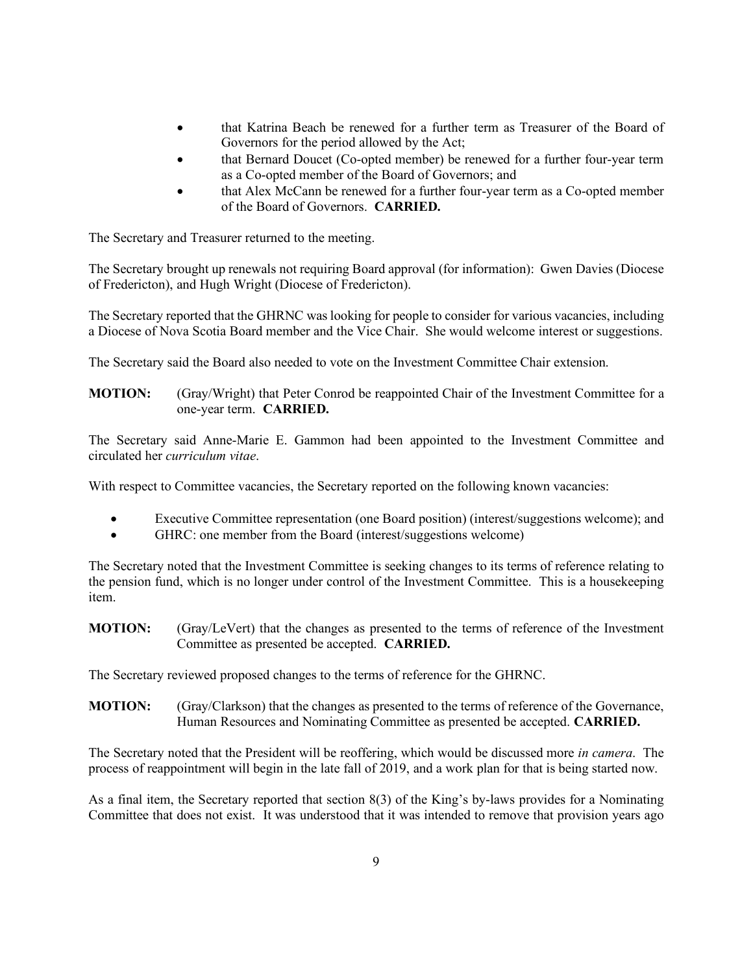- that Katrina Beach be renewed for a further term as Treasurer of the Board of Governors for the period allowed by the Act;
- that Bernard Doucet (Co-opted member) be renewed for a further four-year term as a Co-opted member of the Board of Governors; and
- that Alex McCann be renewed for a further four-year term as a Co-opted member of the Board of Governors. **CARRIED.**

The Secretary and Treasurer returned to the meeting.

The Secretary brought up renewals not requiring Board approval (for information): Gwen Davies (Diocese of Fredericton), and Hugh Wright (Diocese of Fredericton).

The Secretary reported that the GHRNC was looking for people to consider for various vacancies, including a Diocese of Nova Scotia Board member and the Vice Chair. She would welcome interest or suggestions.

The Secretary said the Board also needed to vote on the Investment Committee Chair extension.

## **MOTION:** (Gray/Wright) that Peter Conrod be reappointed Chair of the Investment Committee for a one-year term. **CARRIED.**

The Secretary said Anne-Marie E. Gammon had been appointed to the Investment Committee and circulated her *curriculum vitae*.

With respect to Committee vacancies, the Secretary reported on the following known vacancies:

- Executive Committee representation (one Board position) (interest/suggestions welcome); and
- GHRC: one member from the Board (interest/suggestions welcome)

The Secretary noted that the Investment Committee is seeking changes to its terms of reference relating to the pension fund, which is no longer under control of the Investment Committee. This is a housekeeping item.

**MOTION:** (Gray/LeVert) that the changes as presented to the terms of reference of the Investment Committee as presented be accepted. **CARRIED.**

The Secretary reviewed proposed changes to the terms of reference for the GHRNC.

**MOTION:** (Gray/Clarkson) that the changes as presented to the terms of reference of the Governance, Human Resources and Nominating Committee as presented be accepted. **CARRIED.**

The Secretary noted that the President will be reoffering, which would be discussed more *in camera*. The process of reappointment will begin in the late fall of 2019, and a work plan for that is being started now.

As a final item, the Secretary reported that section 8(3) of the King's by-laws provides for a Nominating Committee that does not exist. It was understood that it was intended to remove that provision years ago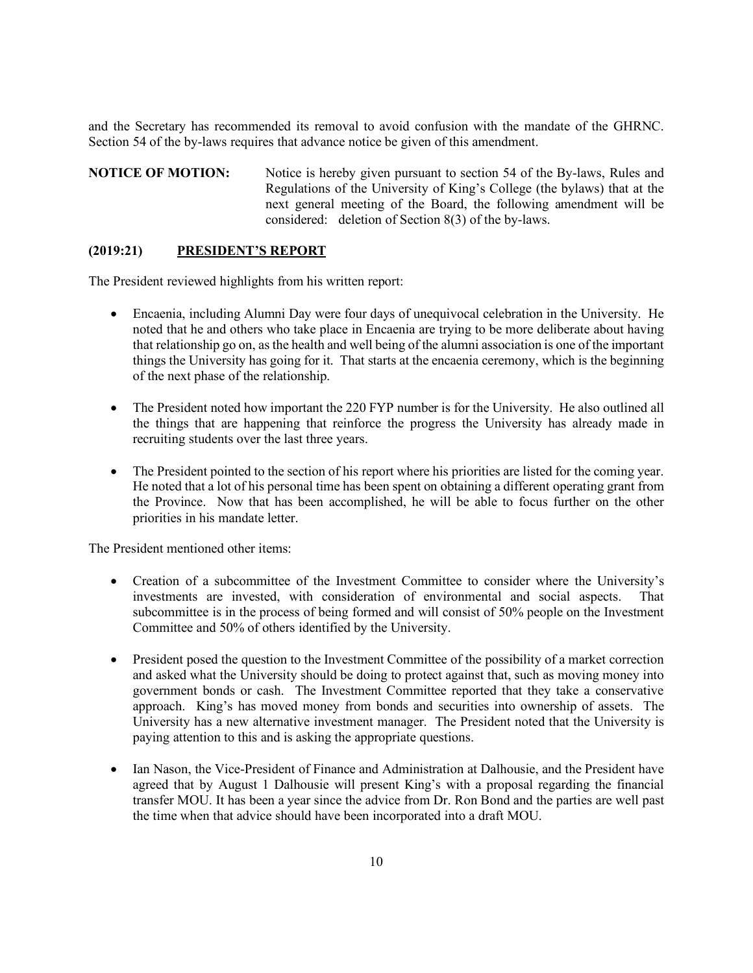and the Secretary has recommended its removal to avoid confusion with the mandate of the GHRNC. Section 54 of the by-laws requires that advance notice be given of this amendment.

**NOTICE OF MOTION:** Notice is hereby given pursuant to section 54 of the By-laws, Rules and Regulations of the University of King's College (the bylaws) that at the next general meeting of the Board, the following amendment will be considered: deletion of Section 8(3) of the by-laws.

### **(2019:21) PRESIDENT'S REPORT**

The President reviewed highlights from his written report:

- Encaenia, including Alumni Day were four days of unequivocal celebration in the University. He noted that he and others who take place in Encaenia are trying to be more deliberate about having that relationship go on, as the health and well being of the alumni association is one of the important things the University has going for it. That starts at the encaenia ceremony, which is the beginning of the next phase of the relationship.
- The President noted how important the 220 FYP number is for the University. He also outlined all the things that are happening that reinforce the progress the University has already made in recruiting students over the last three years.
- The President pointed to the section of his report where his priorities are listed for the coming year. He noted that a lot of his personal time has been spent on obtaining a different operating grant from the Province. Now that has been accomplished, he will be able to focus further on the other priorities in his mandate letter.

The President mentioned other items:

- Creation of a subcommittee of the Investment Committee to consider where the University's investments are invested, with consideration of environmental and social aspects. That subcommittee is in the process of being formed and will consist of 50% people on the Investment Committee and 50% of others identified by the University.
- President posed the question to the Investment Committee of the possibility of a market correction and asked what the University should be doing to protect against that, such as moving money into government bonds or cash. The Investment Committee reported that they take a conservative approach. King's has moved money from bonds and securities into ownership of assets. The University has a new alternative investment manager. The President noted that the University is paying attention to this and is asking the appropriate questions.
- Ian Nason, the Vice-President of Finance and Administration at Dalhousie, and the President have agreed that by August 1 Dalhousie will present King's with a proposal regarding the financial transfer MOU. It has been a year since the advice from Dr. Ron Bond and the parties are well past the time when that advice should have been incorporated into a draft MOU.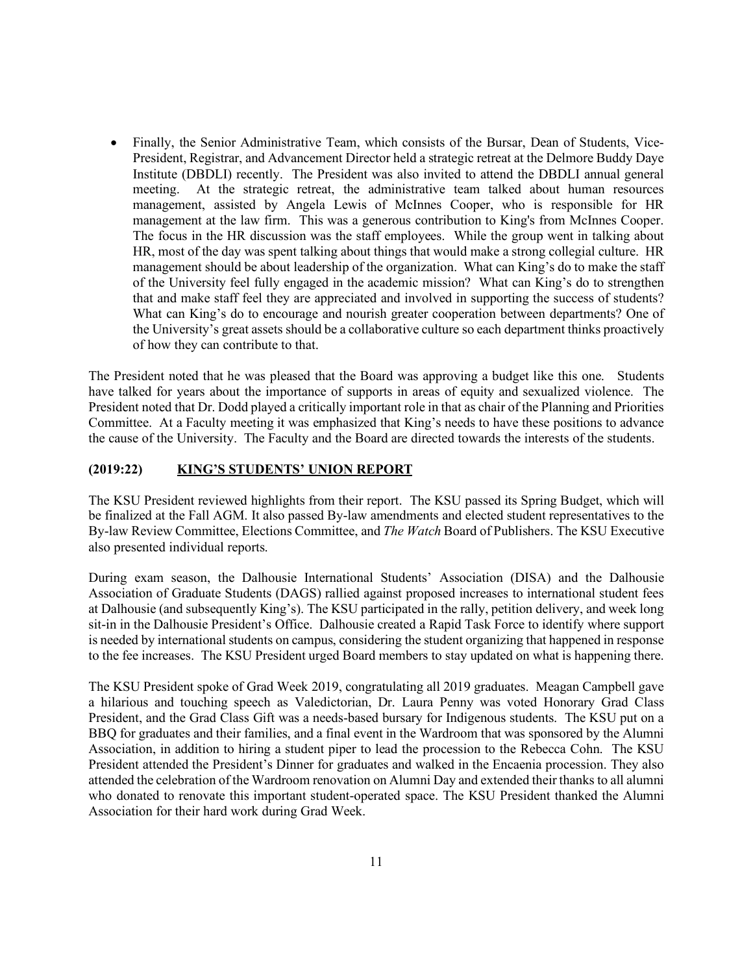• Finally, the Senior Administrative Team, which consists of the Bursar, Dean of Students, Vice-President, Registrar, and Advancement Director held a strategic retreat at the Delmore Buddy Daye Institute (DBDLI) recently. The President was also invited to attend the DBDLI annual general meeting. At the strategic retreat, the administrative team talked about human resources management, assisted by Angela Lewis of McInnes Cooper, who is responsible for HR management at the law firm. This was a generous contribution to King's from McInnes Cooper. The focus in the HR discussion was the staff employees. While the group went in talking about HR, most of the day was spent talking about things that would make a strong collegial culture. HR management should be about leadership of the organization. What can King's do to make the staff of the University feel fully engaged in the academic mission? What can King's do to strengthen that and make staff feel they are appreciated and involved in supporting the success of students? What can King's do to encourage and nourish greater cooperation between departments? One of the University's great assets should be a collaborative culture so each department thinks proactively of how they can contribute to that.

The President noted that he was pleased that the Board was approving a budget like this one. Students have talked for years about the importance of supports in areas of equity and sexualized violence. The President noted that Dr. Dodd played a critically important role in that as chair of the Planning and Priorities Committee. At a Faculty meeting it was emphasized that King's needs to have these positions to advance the cause of the University. The Faculty and the Board are directed towards the interests of the students.

## **(2019:22) KING'S STUDENTS' UNION REPORT**

The KSU President reviewed highlights from their report. The KSU passed its Spring Budget, which will be finalized at the Fall AGM. It also passed By-law amendments and elected student representatives to the By-law Review Committee, Elections Committee, and *The Watch* Board of Publishers. The KSU Executive also presented individual reports.

During exam season, the Dalhousie International Students' Association (DISA) and the Dalhousie Association of Graduate Students (DAGS) rallied against proposed increases to international student fees at Dalhousie (and subsequently King's). The KSU participated in the rally, petition delivery, and week long sit-in in the Dalhousie President's Office. Dalhousie created a Rapid Task Force to identify where support is needed by international students on campus, considering the student organizing that happened in response to the fee increases. The KSU President urged Board members to stay updated on what is happening there.

The KSU President spoke of Grad Week 2019, congratulating all 2019 graduates. Meagan Campbell gave a hilarious and touching speech as Valedictorian, Dr. Laura Penny was voted Honorary Grad Class President, and the Grad Class Gift was a needs-based bursary for Indigenous students. The KSU put on a BBQ for graduates and their families, and a final event in the Wardroom that was sponsored by the Alumni Association, in addition to hiring a student piper to lead the procession to the Rebecca Cohn. The KSU President attended the President's Dinner for graduates and walked in the Encaenia procession. They also attended the celebration of the Wardroom renovation on Alumni Day and extended their thanks to all alumni who donated to renovate this important student-operated space. The KSU President thanked the Alumni Association for their hard work during Grad Week.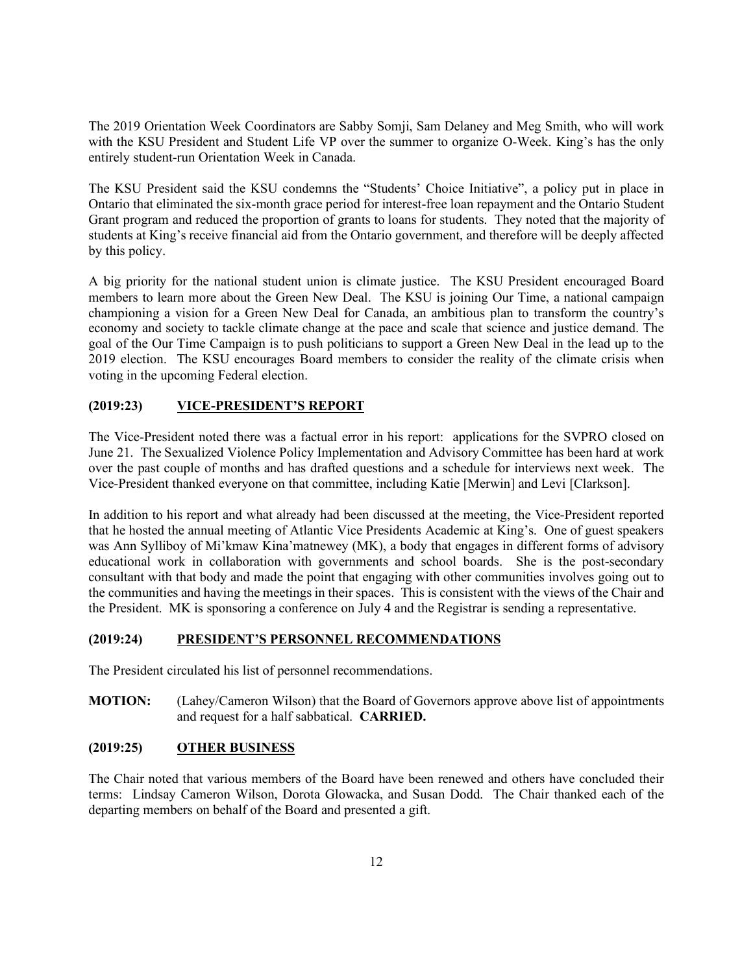The 2019 Orientation Week Coordinators are Sabby Somji, Sam Delaney and Meg Smith, who will work with the KSU President and Student Life VP over the summer to organize O-Week. King's has the only entirely student-run Orientation Week in Canada.

The KSU President said the KSU condemns the "Students' Choice Initiative", a policy put in place in Ontario that eliminated the six-month grace period for interest-free loan repayment and the Ontario Student Grant program and reduced the proportion of grants to loans for students. They noted that the majority of students at King's receive financial aid from the Ontario government, and therefore will be deeply affected by this policy.

A big priority for the national student union is climate justice. The KSU President encouraged Board members to learn more about the Green New Deal. The KSU is joining Our Time, a national campaign championing a vision for a Green New Deal for Canada, an ambitious plan to transform the country's economy and society to tackle climate change at the pace and scale that science and justice demand. The goal of the Our Time Campaign is to push politicians to support a Green New Deal in the lead up to the 2019 election. The KSU encourages Board members to consider the reality of the climate crisis when voting in the upcoming Federal election.

# **(2019:23) VICE-PRESIDENT'S REPORT**

The Vice-President noted there was a factual error in his report: applications for the SVPRO closed on June 21. The Sexualized Violence Policy Implementation and Advisory Committee has been hard at work over the past couple of months and has drafted questions and a schedule for interviews next week. The Vice-President thanked everyone on that committee, including Katie [Merwin] and Levi [Clarkson].

In addition to his report and what already had been discussed at the meeting, the Vice-President reported that he hosted the annual meeting of Atlantic Vice Presidents Academic at King's. One of guest speakers was Ann Sylliboy of Mi'kmaw Kina'matnewey (MK), a body that engages in different forms of advisory educational work in collaboration with governments and school boards. She is the post-secondary consultant with that body and made the point that engaging with other communities involves going out to the communities and having the meetings in their spaces. This is consistent with the views of the Chair and the President. MK is sponsoring a conference on July 4 and the Registrar is sending a representative.

#### **(2019:24) PRESIDENT'S PERSONNEL RECOMMENDATIONS**

The President circulated his list of personnel recommendations.

**MOTION:** (Lahey/Cameron Wilson) that the Board of Governors approve above list of appointments and request for a half sabbatical. **CARRIED.**

#### **(2019:25) OTHER BUSINESS**

The Chair noted that various members of the Board have been renewed and others have concluded their terms: Lindsay Cameron Wilson, Dorota Glowacka, and Susan Dodd. The Chair thanked each of the departing members on behalf of the Board and presented a gift.